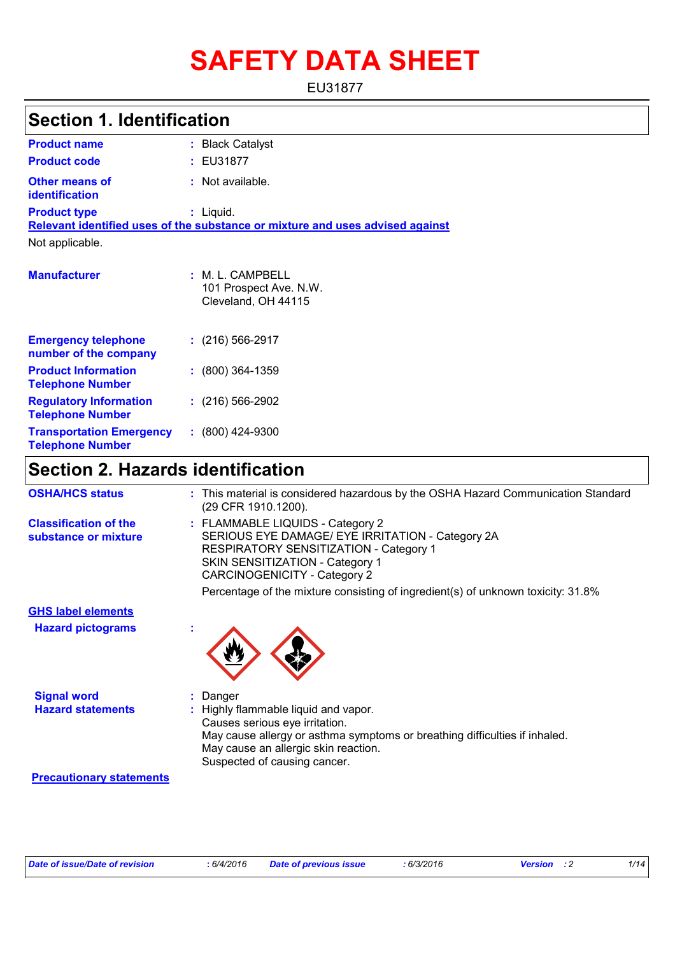# **SAFETY DATA SHEET**

EU31877

# **Section 1. Identification**

| <b>Product name</b>                                        | : Black Catalyst                                                              |
|------------------------------------------------------------|-------------------------------------------------------------------------------|
| <b>Product code</b>                                        | : EU31877                                                                     |
| <b>Other means of</b><br><b>identification</b>             | : Not available.                                                              |
| <b>Product type</b>                                        | : Liquid.                                                                     |
|                                                            | Relevant identified uses of the substance or mixture and uses advised against |
| Not applicable.                                            |                                                                               |
| <b>Manufacturer</b>                                        | $:M.L.$ CAMPBELL<br>101 Prospect Ave. N.W.<br>Cleveland, OH 44115             |
| <b>Emergency telephone</b><br>number of the company        | $: (216) 566-2917$                                                            |
| <b>Product Information</b><br><b>Telephone Number</b>      | $: (800)$ 364-1359                                                            |
| <b>Regulatory Information</b><br><b>Telephone Number</b>   | $: (216) 566-2902$                                                            |
| <b>Transportation Emergency</b><br><b>Telephone Number</b> | $: (800)$ 424-9300                                                            |

# **Section 2. Hazards identification**

| <b>OSHA/HCS status</b>                               | : This material is considered hazardous by the OSHA Hazard Communication Standard<br>(29 CFR 1910.1200).                                                                                                                     |
|------------------------------------------------------|------------------------------------------------------------------------------------------------------------------------------------------------------------------------------------------------------------------------------|
| <b>Classification of the</b><br>substance or mixture | : FLAMMABLE LIQUIDS - Category 2<br>SERIOUS EYE DAMAGE/ EYE IRRITATION - Category 2A<br>RESPIRATORY SENSITIZATION - Category 1<br>SKIN SENSITIZATION - Category 1<br>CARCINOGENICITY - Category 2                            |
|                                                      | Percentage of the mixture consisting of ingredient(s) of unknown toxicity: 31.8%                                                                                                                                             |
| <b>GHS label elements</b>                            |                                                                                                                                                                                                                              |
| <b>Hazard pictograms</b>                             |                                                                                                                                                                                                                              |
| <b>Signal word</b>                                   | Danger                                                                                                                                                                                                                       |
| <b>Hazard statements</b>                             | : Highly flammable liquid and vapor.<br>Causes serious eye irritation.<br>May cause allergy or asthma symptoms or breathing difficulties if inhaled.<br>May cause an allergic skin reaction.<br>Suspected of causing cancer. |

#### **Precautionary statements**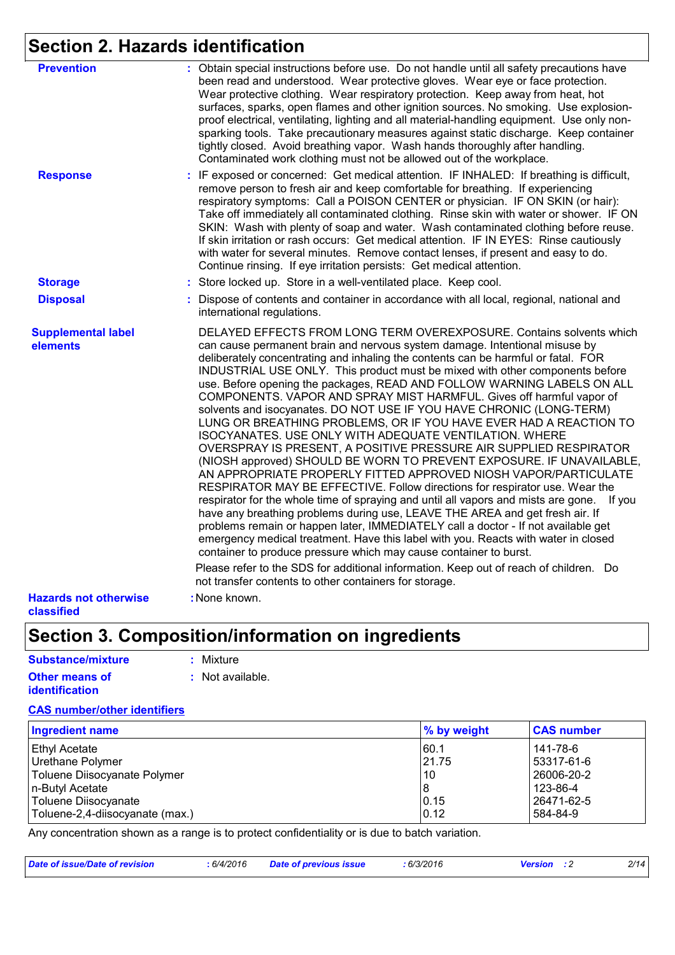# **Section 2. Hazards identification**

| <b>Prevention</b>                          | : Obtain special instructions before use. Do not handle until all safety precautions have<br>been read and understood. Wear protective gloves. Wear eye or face protection.<br>Wear protective clothing. Wear respiratory protection. Keep away from heat, hot<br>surfaces, sparks, open flames and other ignition sources. No smoking. Use explosion-<br>proof electrical, ventilating, lighting and all material-handling equipment. Use only non-<br>sparking tools. Take precautionary measures against static discharge. Keep container<br>tightly closed. Avoid breathing vapor. Wash hands thoroughly after handling.<br>Contaminated work clothing must not be allowed out of the workplace.                                                                                                                                                                                                                                                                                                                                                                                                                                                                                                                                                                                                                                                                                                             |
|--------------------------------------------|------------------------------------------------------------------------------------------------------------------------------------------------------------------------------------------------------------------------------------------------------------------------------------------------------------------------------------------------------------------------------------------------------------------------------------------------------------------------------------------------------------------------------------------------------------------------------------------------------------------------------------------------------------------------------------------------------------------------------------------------------------------------------------------------------------------------------------------------------------------------------------------------------------------------------------------------------------------------------------------------------------------------------------------------------------------------------------------------------------------------------------------------------------------------------------------------------------------------------------------------------------------------------------------------------------------------------------------------------------------------------------------------------------------|
| <b>Response</b>                            | : IF exposed or concerned: Get medical attention. IF INHALED: If breathing is difficult,<br>remove person to fresh air and keep comfortable for breathing. If experiencing<br>respiratory symptoms: Call a POISON CENTER or physician. IF ON SKIN (or hair):<br>Take off immediately all contaminated clothing. Rinse skin with water or shower. IF ON<br>SKIN: Wash with plenty of soap and water. Wash contaminated clothing before reuse.<br>If skin irritation or rash occurs: Get medical attention. IF IN EYES: Rinse cautiously<br>with water for several minutes. Remove contact lenses, if present and easy to do.<br>Continue rinsing. If eye irritation persists: Get medical attention.                                                                                                                                                                                                                                                                                                                                                                                                                                                                                                                                                                                                                                                                                                              |
| <b>Storage</b>                             | : Store locked up. Store in a well-ventilated place. Keep cool.                                                                                                                                                                                                                                                                                                                                                                                                                                                                                                                                                                                                                                                                                                                                                                                                                                                                                                                                                                                                                                                                                                                                                                                                                                                                                                                                                  |
| <b>Disposal</b>                            | Dispose of contents and container in accordance with all local, regional, national and<br>international regulations.                                                                                                                                                                                                                                                                                                                                                                                                                                                                                                                                                                                                                                                                                                                                                                                                                                                                                                                                                                                                                                                                                                                                                                                                                                                                                             |
| <b>Supplemental label</b><br>elements      | DELAYED EFFECTS FROM LONG TERM OVEREXPOSURE. Contains solvents which<br>can cause permanent brain and nervous system damage. Intentional misuse by<br>deliberately concentrating and inhaling the contents can be harmful or fatal. FOR<br>INDUSTRIAL USE ONLY. This product must be mixed with other components before<br>use. Before opening the packages, READ AND FOLLOW WARNING LABELS ON ALL<br>COMPONENTS. VAPOR AND SPRAY MIST HARMFUL. Gives off harmful vapor of<br>solvents and isocyanates. DO NOT USE IF YOU HAVE CHRONIC (LONG-TERM)<br>LUNG OR BREATHING PROBLEMS, OR IF YOU HAVE EVER HAD A REACTION TO<br>ISOCYANATES. USE ONLY WITH ADEQUATE VENTILATION. WHERE<br>OVERSPRAY IS PRESENT, A POSITIVE PRESSURE AIR SUPPLIED RESPIRATOR<br>(NIOSH approved) SHOULD BE WORN TO PREVENT EXPOSURE. IF UNAVAILABLE,<br>AN APPROPRIATE PROPERLY FITTED APPROVED NIOSH VAPOR/PARTICULATE<br>RESPIRATOR MAY BE EFFECTIVE. Follow directions for respirator use. Wear the<br>respirator for the whole time of spraying and until all vapors and mists are gone.<br>If you<br>have any breathing problems during use, LEAVE THE AREA and get fresh air. If<br>problems remain or happen later, IMMEDIATELY call a doctor - If not available get<br>emergency medical treatment. Have this label with you. Reacts with water in closed<br>container to produce pressure which may cause container to burst. |
|                                            | Please refer to the SDS for additional information. Keep out of reach of children. Do<br>not transfer contents to other containers for storage.                                                                                                                                                                                                                                                                                                                                                                                                                                                                                                                                                                                                                                                                                                                                                                                                                                                                                                                                                                                                                                                                                                                                                                                                                                                                  |
| <b>Hazards not otherwise</b><br>classified | : None known.                                                                                                                                                                                                                                                                                                                                                                                                                                                                                                                                                                                                                                                                                                                                                                                                                                                                                                                                                                                                                                                                                                                                                                                                                                                                                                                                                                                                    |

# **Section 3. Composition/information on ingredients**

#### **Substance/mixture :** Mixture

| <b>Other means of</b> | : Not available. |
|-----------------------|------------------|
| <b>identification</b> |                  |

### **CAS number/other identifiers**

| Ingredient name                 | % by weight | <b>CAS number</b> |
|---------------------------------|-------------|-------------------|
| Ethyl Acetate                   | 60.1        | 141-78-6          |
| Urethane Polymer                | 21.75       | 53317-61-6        |
| Toluene Diisocyanate Polymer    | 10          | 26006-20-2        |
| n-Butyl Acetate                 | 8           | 123-86-4          |
| Toluene Diisocyanate            | 0.15        | 26471-62-5        |
| Toluene-2,4-diisocyanate (max.) | 0.12        | 584-84-9          |

Any concentration shown as a range is to protect confidentiality or is due to batch variation.

| Date of issue/Date of revision | : 6/4/2016 | <b>Date of previous issue</b> | 6/3/2016 | <b>Version</b> : 2 | 2/14 |
|--------------------------------|------------|-------------------------------|----------|--------------------|------|
|                                |            |                               |          |                    |      |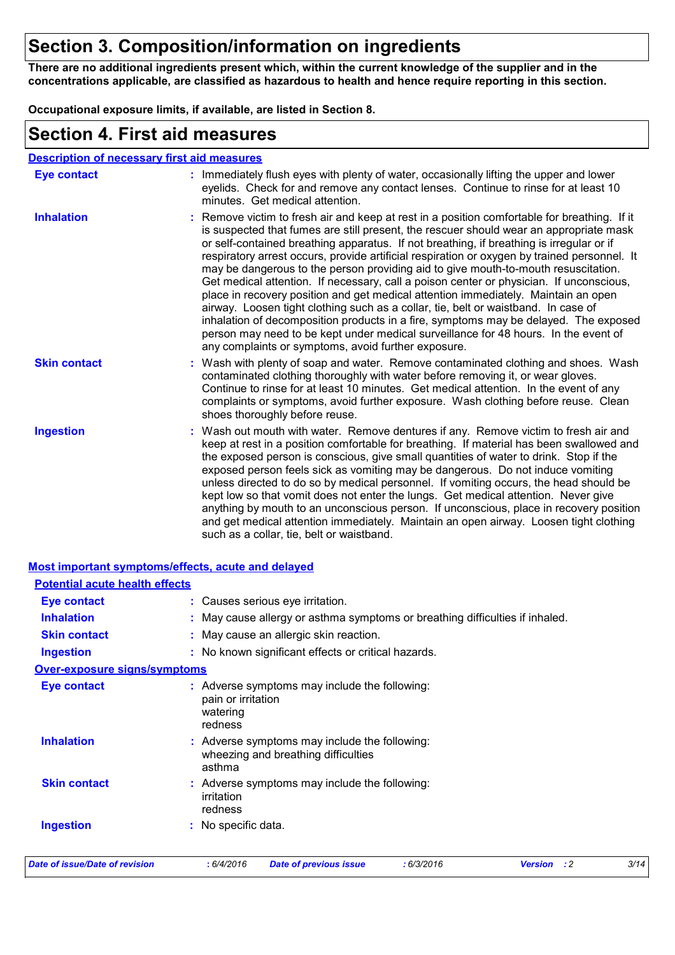# **Section 3. Composition/information on ingredients**

**There are no additional ingredients present which, within the current knowledge of the supplier and in the concentrations applicable, are classified as hazardous to health and hence require reporting in this section.**

**Occupational exposure limits, if available, are listed in Section 8.**

### **Section 4. First aid measures**

| <b>Description of necessary first aid measures</b> |                                                                                                                                                                                                                                                                                                                                                                                                                                                                                                                                                                                                                                                                                                                                                                                                                                                                                                                                                                                       |
|----------------------------------------------------|---------------------------------------------------------------------------------------------------------------------------------------------------------------------------------------------------------------------------------------------------------------------------------------------------------------------------------------------------------------------------------------------------------------------------------------------------------------------------------------------------------------------------------------------------------------------------------------------------------------------------------------------------------------------------------------------------------------------------------------------------------------------------------------------------------------------------------------------------------------------------------------------------------------------------------------------------------------------------------------|
| <b>Eye contact</b>                                 | : Immediately flush eyes with plenty of water, occasionally lifting the upper and lower<br>eyelids. Check for and remove any contact lenses. Continue to rinse for at least 10<br>minutes. Get medical attention.                                                                                                                                                                                                                                                                                                                                                                                                                                                                                                                                                                                                                                                                                                                                                                     |
| <b>Inhalation</b>                                  | : Remove victim to fresh air and keep at rest in a position comfortable for breathing. If it<br>is suspected that fumes are still present, the rescuer should wear an appropriate mask<br>or self-contained breathing apparatus. If not breathing, if breathing is irregular or if<br>respiratory arrest occurs, provide artificial respiration or oxygen by trained personnel. It<br>may be dangerous to the person providing aid to give mouth-to-mouth resuscitation.<br>Get medical attention. If necessary, call a poison center or physician. If unconscious,<br>place in recovery position and get medical attention immediately. Maintain an open<br>airway. Loosen tight clothing such as a collar, tie, belt or waistband. In case of<br>inhalation of decomposition products in a fire, symptoms may be delayed. The exposed<br>person may need to be kept under medical surveillance for 48 hours. In the event of<br>any complaints or symptoms, avoid further exposure. |
| <b>Skin contact</b>                                | : Wash with plenty of soap and water. Remove contaminated clothing and shoes. Wash<br>contaminated clothing thoroughly with water before removing it, or wear gloves.<br>Continue to rinse for at least 10 minutes. Get medical attention. In the event of any<br>complaints or symptoms, avoid further exposure. Wash clothing before reuse. Clean<br>shoes thoroughly before reuse.                                                                                                                                                                                                                                                                                                                                                                                                                                                                                                                                                                                                 |
| <b>Ingestion</b>                                   | : Wash out mouth with water. Remove dentures if any. Remove victim to fresh air and<br>keep at rest in a position comfortable for breathing. If material has been swallowed and<br>the exposed person is conscious, give small quantities of water to drink. Stop if the<br>exposed person feels sick as vomiting may be dangerous. Do not induce vomiting<br>unless directed to do so by medical personnel. If vomiting occurs, the head should be<br>kept low so that vomit does not enter the lungs. Get medical attention. Never give<br>anything by mouth to an unconscious person. If unconscious, place in recovery position<br>and get medical attention immediately. Maintain an open airway. Loosen tight clothing<br>such as a collar, tie, belt or waistband.                                                                                                                                                                                                             |

|                                       | <b>Most important symptoms/effects, acute and delayed</b>                                      |      |
|---------------------------------------|------------------------------------------------------------------------------------------------|------|
| <b>Potential acute health effects</b> |                                                                                                |      |
| <b>Eye contact</b>                    | : Causes serious eye irritation.                                                               |      |
| <b>Inhalation</b>                     | : May cause allergy or asthma symptoms or breathing difficulties if inhaled.                   |      |
| <b>Skin contact</b>                   | : May cause an allergic skin reaction.                                                         |      |
| <b>Ingestion</b>                      | : No known significant effects or critical hazards.                                            |      |
| <b>Over-exposure signs/symptoms</b>   |                                                                                                |      |
| <b>Eye contact</b>                    | : Adverse symptoms may include the following:<br>pain or irritation<br>watering<br>redness     |      |
| <b>Inhalation</b>                     | : Adverse symptoms may include the following:<br>wheezing and breathing difficulties<br>asthma |      |
| <b>Skin contact</b>                   | : Adverse symptoms may include the following:<br>irritation<br>redness                         |      |
| <b>Ingestion</b>                      | : No specific data.                                                                            |      |
| Date of issue/Date of revision        | : 6/4/2016<br><b>Date of previous issue</b><br>:6/3/2016<br><b>Version</b><br>$\cdot$ : 2      | 3/14 |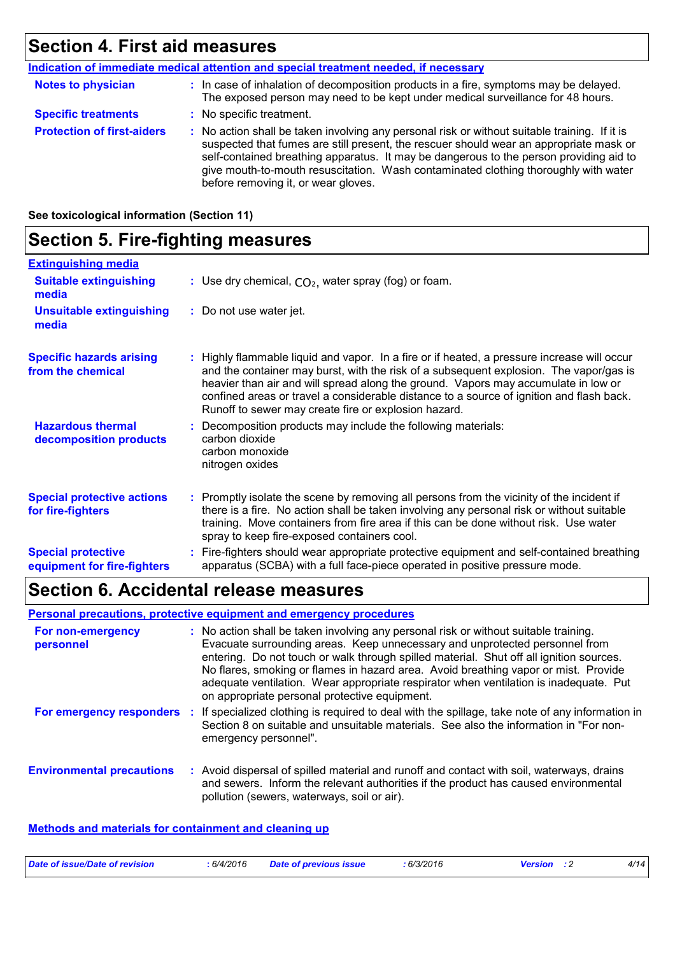# **Section 4. First aid measures**

|                                   | <u>Indication of immediate medical attention and special treatment needed, if necessary</u>                                                                                                                                                                                                                                                                                                                     |
|-----------------------------------|-----------------------------------------------------------------------------------------------------------------------------------------------------------------------------------------------------------------------------------------------------------------------------------------------------------------------------------------------------------------------------------------------------------------|
| <b>Notes to physician</b>         | : In case of inhalation of decomposition products in a fire, symptoms may be delayed.<br>The exposed person may need to be kept under medical surveillance for 48 hours.                                                                                                                                                                                                                                        |
| <b>Specific treatments</b>        | : No specific treatment.                                                                                                                                                                                                                                                                                                                                                                                        |
| <b>Protection of first-aiders</b> | : No action shall be taken involving any personal risk or without suitable training. If it is<br>suspected that fumes are still present, the rescuer should wear an appropriate mask or<br>self-contained breathing apparatus. It may be dangerous to the person providing aid to<br>give mouth-to-mouth resuscitation. Wash contaminated clothing thoroughly with water<br>before removing it, or wear gloves. |

**See toxicological information (Section 11)**

# **Section 5. Fire-fighting measures**

| <b>Extinguishing media</b>                               |                                                                                                                                                                                                                                                                                                                                                                                                                                 |
|----------------------------------------------------------|---------------------------------------------------------------------------------------------------------------------------------------------------------------------------------------------------------------------------------------------------------------------------------------------------------------------------------------------------------------------------------------------------------------------------------|
| <b>Suitable extinguishing</b><br>media                   | : Use dry chemical, $CO2$ , water spray (fog) or foam.                                                                                                                                                                                                                                                                                                                                                                          |
| <b>Unsuitable extinguishing</b><br>media                 | : Do not use water jet.                                                                                                                                                                                                                                                                                                                                                                                                         |
| <b>Specific hazards arising</b><br>from the chemical     | : Highly flammable liquid and vapor. In a fire or if heated, a pressure increase will occur<br>and the container may burst, with the risk of a subsequent explosion. The vapor/gas is<br>heavier than air and will spread along the ground. Vapors may accumulate in low or<br>confined areas or travel a considerable distance to a source of ignition and flash back.<br>Runoff to sewer may create fire or explosion hazard. |
| <b>Hazardous thermal</b><br>decomposition products       | Decomposition products may include the following materials:<br>carbon dioxide<br>carbon monoxide<br>nitrogen oxides                                                                                                                                                                                                                                                                                                             |
| <b>Special protective actions</b><br>for fire-fighters   | : Promptly isolate the scene by removing all persons from the vicinity of the incident if<br>there is a fire. No action shall be taken involving any personal risk or without suitable<br>training. Move containers from fire area if this can be done without risk. Use water<br>spray to keep fire-exposed containers cool.                                                                                                   |
| <b>Special protective</b><br>equipment for fire-fighters | : Fire-fighters should wear appropriate protective equipment and self-contained breathing<br>apparatus (SCBA) with a full face-piece operated in positive pressure mode.                                                                                                                                                                                                                                                        |

### **Section 6. Accidental release measures**

|                                  |     | <b>Personal precautions, protective equipment and emergency procedures</b>                                                                                                                                                                                                                                                                                                                                                                                                                      |
|----------------------------------|-----|-------------------------------------------------------------------------------------------------------------------------------------------------------------------------------------------------------------------------------------------------------------------------------------------------------------------------------------------------------------------------------------------------------------------------------------------------------------------------------------------------|
| For non-emergency<br>personnel   |     | : No action shall be taken involving any personal risk or without suitable training.<br>Evacuate surrounding areas. Keep unnecessary and unprotected personnel from<br>entering. Do not touch or walk through spilled material. Shut off all ignition sources.<br>No flares, smoking or flames in hazard area. Avoid breathing vapor or mist. Provide<br>adequate ventilation. Wear appropriate respirator when ventilation is inadequate. Put<br>on appropriate personal protective equipment. |
| For emergency responders         | -11 | If specialized clothing is required to deal with the spillage, take note of any information in<br>Section 8 on suitable and unsuitable materials. See also the information in "For non-<br>emergency personnel".                                                                                                                                                                                                                                                                                |
| <b>Environmental precautions</b> |     | : Avoid dispersal of spilled material and runoff and contact with soil, waterways, drains<br>and sewers. Inform the relevant authorities if the product has caused environmental<br>pollution (sewers, waterways, soil or air).                                                                                                                                                                                                                                                                 |

### **Methods and materials for containment and cleaning up**

| Date of issue/Date of revision | : 6/4/2016 | <b>Date of previous issue</b> | : 6/3/2016 | <b>Version</b> : 2 | 4/14 |
|--------------------------------|------------|-------------------------------|------------|--------------------|------|
|                                |            |                               |            |                    |      |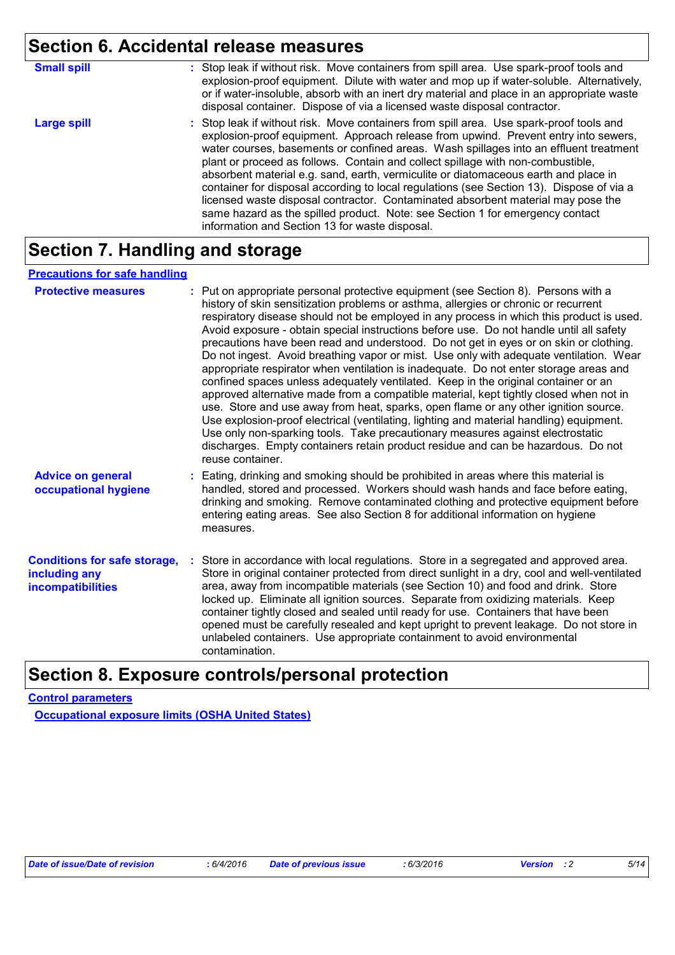# **Section 6. Accidental release measures**

| <b>Small spill</b> | : Stop leak if without risk. Move containers from spill area. Use spark-proof tools and<br>explosion-proof equipment. Dilute with water and mop up if water-soluble. Alternatively,<br>or if water-insoluble, absorb with an inert dry material and place in an appropriate waste<br>disposal container. Dispose of via a licensed waste disposal contractor.                                                                                                                                                                                                                                                                                                                                                                                                        |
|--------------------|----------------------------------------------------------------------------------------------------------------------------------------------------------------------------------------------------------------------------------------------------------------------------------------------------------------------------------------------------------------------------------------------------------------------------------------------------------------------------------------------------------------------------------------------------------------------------------------------------------------------------------------------------------------------------------------------------------------------------------------------------------------------|
| <b>Large spill</b> | : Stop leak if without risk. Move containers from spill area. Use spark-proof tools and<br>explosion-proof equipment. Approach release from upwind. Prevent entry into sewers,<br>water courses, basements or confined areas. Wash spillages into an effluent treatment<br>plant or proceed as follows. Contain and collect spillage with non-combustible,<br>absorbent material e.g. sand, earth, vermiculite or diatomaceous earth and place in<br>container for disposal according to local regulations (see Section 13). Dispose of via a<br>licensed waste disposal contractor. Contaminated absorbent material may pose the<br>same hazard as the spilled product. Note: see Section 1 for emergency contact<br>information and Section 13 for waste disposal. |

# **Section 7. Handling and storage**

### **Precautions for safe handling**

| <b>Protective measures</b>                                                       | : Put on appropriate personal protective equipment (see Section 8). Persons with a<br>history of skin sensitization problems or asthma, allergies or chronic or recurrent<br>respiratory disease should not be employed in any process in which this product is used.<br>Avoid exposure - obtain special instructions before use. Do not handle until all safety<br>precautions have been read and understood. Do not get in eyes or on skin or clothing.<br>Do not ingest. Avoid breathing vapor or mist. Use only with adequate ventilation. Wear<br>appropriate respirator when ventilation is inadequate. Do not enter storage areas and<br>confined spaces unless adequately ventilated. Keep in the original container or an<br>approved alternative made from a compatible material, kept tightly closed when not in<br>use. Store and use away from heat, sparks, open flame or any other ignition source.<br>Use explosion-proof electrical (ventilating, lighting and material handling) equipment.<br>Use only non-sparking tools. Take precautionary measures against electrostatic<br>discharges. Empty containers retain product residue and can be hazardous. Do not<br>reuse container. |
|----------------------------------------------------------------------------------|---------------------------------------------------------------------------------------------------------------------------------------------------------------------------------------------------------------------------------------------------------------------------------------------------------------------------------------------------------------------------------------------------------------------------------------------------------------------------------------------------------------------------------------------------------------------------------------------------------------------------------------------------------------------------------------------------------------------------------------------------------------------------------------------------------------------------------------------------------------------------------------------------------------------------------------------------------------------------------------------------------------------------------------------------------------------------------------------------------------------------------------------------------------------------------------------------------|
| <b>Advice on general</b><br>occupational hygiene                                 | : Eating, drinking and smoking should be prohibited in areas where this material is<br>handled, stored and processed. Workers should wash hands and face before eating,<br>drinking and smoking. Remove contaminated clothing and protective equipment before<br>entering eating areas. See also Section 8 for additional information on hygiene<br>measures.                                                                                                                                                                                                                                                                                                                                                                                                                                                                                                                                                                                                                                                                                                                                                                                                                                           |
| <b>Conditions for safe storage,</b><br>including any<br><b>incompatibilities</b> | Store in accordance with local regulations. Store in a segregated and approved area.<br>Store in original container protected from direct sunlight in a dry, cool and well-ventilated<br>area, away from incompatible materials (see Section 10) and food and drink. Store<br>locked up. Eliminate all ignition sources. Separate from oxidizing materials. Keep<br>container tightly closed and sealed until ready for use. Containers that have been<br>opened must be carefully resealed and kept upright to prevent leakage. Do not store in<br>unlabeled containers. Use appropriate containment to avoid environmental<br>contamination.                                                                                                                                                                                                                                                                                                                                                                                                                                                                                                                                                          |

# **Section 8. Exposure controls/personal protection**

### **Control parameters**

**Occupational exposure limits (OSHA United States)**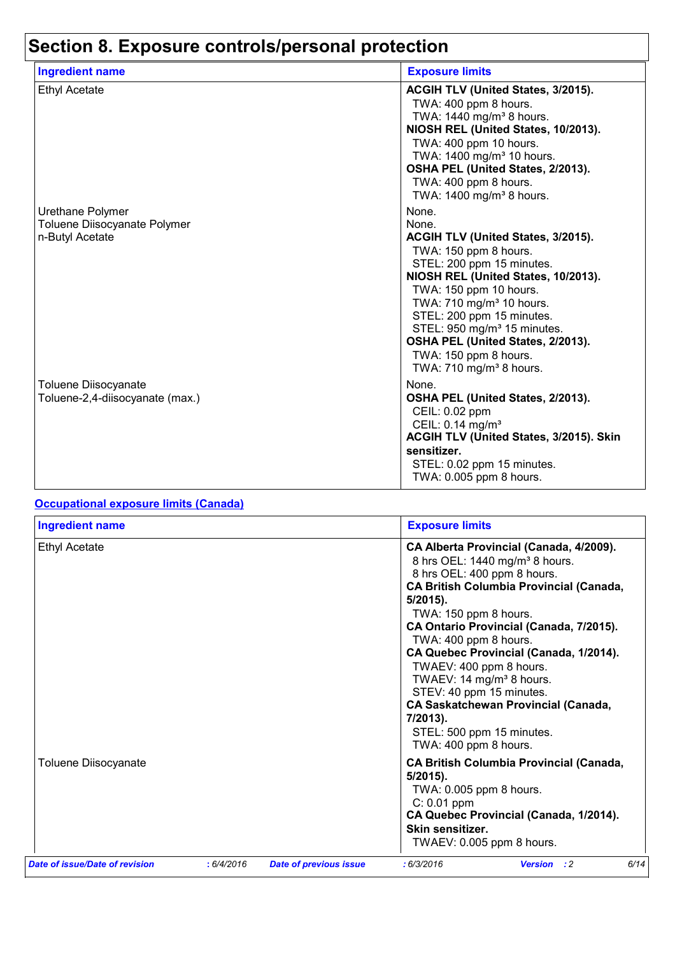# **Section 8. Exposure controls/personal protection**

| <b>Ingredient name</b>                                              | <b>Exposure limits</b>                                                                                                                                                                                                                                                                                                                                                                           |
|---------------------------------------------------------------------|--------------------------------------------------------------------------------------------------------------------------------------------------------------------------------------------------------------------------------------------------------------------------------------------------------------------------------------------------------------------------------------------------|
| <b>Ethyl Acetate</b>                                                | ACGIH TLV (United States, 3/2015).<br>TWA: 400 ppm 8 hours.<br>TWA: 1440 mg/m <sup>3</sup> 8 hours.<br>NIOSH REL (United States, 10/2013).<br>TWA: 400 ppm 10 hours.<br>TWA: 1400 mg/m <sup>3</sup> 10 hours.<br>OSHA PEL (United States, 2/2013).<br>TWA: 400 ppm 8 hours.<br>TWA: 1400 mg/m <sup>3</sup> 8 hours.                                                                              |
| Urethane Polymer<br>Toluene Diisocyanate Polymer<br>n-Butyl Acetate | None.<br>None.<br>ACGIH TLV (United States, 3/2015).<br>TWA: 150 ppm 8 hours.<br>STEL: 200 ppm 15 minutes.<br>NIOSH REL (United States, 10/2013).<br>TWA: 150 ppm 10 hours.<br>TWA: 710 mg/m <sup>3</sup> 10 hours.<br>STEL: 200 ppm 15 minutes.<br>STEL: 950 mg/m <sup>3</sup> 15 minutes.<br>OSHA PEL (United States, 2/2013).<br>TWA: 150 ppm 8 hours.<br>TWA: 710 mg/m <sup>3</sup> 8 hours. |
| Toluene Diisocyanate<br>Toluene-2,4-diisocyanate (max.)             | None.<br>OSHA PEL (United States, 2/2013).<br>CEIL: 0.02 ppm<br>CEIL: 0.14 mg/m <sup>3</sup><br>ACGIH TLV (United States, 3/2015). Skin<br>sensitizer.<br>STEL: 0.02 ppm 15 minutes.<br>TWA: 0.005 ppm 8 hours.                                                                                                                                                                                  |

### **Occupational exposure limits (Canada)**

| <b>Ingredient name</b>         |            |                               | <b>Exposure limits</b>                                                                                                                                                                                                                                                                                                                                                                                                                                                                                                                     |
|--------------------------------|------------|-------------------------------|--------------------------------------------------------------------------------------------------------------------------------------------------------------------------------------------------------------------------------------------------------------------------------------------------------------------------------------------------------------------------------------------------------------------------------------------------------------------------------------------------------------------------------------------|
| <b>Ethyl Acetate</b>           |            |                               | CA Alberta Provincial (Canada, 4/2009).<br>8 hrs OEL: 1440 mg/m <sup>3</sup> 8 hours.<br>8 hrs OEL: 400 ppm 8 hours.<br><b>CA British Columbia Provincial (Canada,</b><br>$5/2015$ .<br>TWA: 150 ppm 8 hours.<br>CA Ontario Provincial (Canada, 7/2015).<br>TWA: 400 ppm 8 hours.<br>CA Quebec Provincial (Canada, 1/2014).<br>TWAEV: 400 ppm 8 hours.<br>TWAEV: 14 mg/m <sup>3</sup> 8 hours.<br>STEV: 40 ppm 15 minutes.<br><b>CA Saskatchewan Provincial (Canada,</b><br>7/2013).<br>STEL: 500 ppm 15 minutes.<br>TWA: 400 ppm 8 hours. |
| Toluene Diisocyanate           |            |                               | <b>CA British Columbia Provincial (Canada,</b><br>$5/2015$ ).<br>TWA: 0.005 ppm 8 hours.<br>$C: 0.01$ ppm<br>CA Quebec Provincial (Canada, 1/2014).<br>Skin sensitizer.<br>TWAEV: 0.005 ppm 8 hours.                                                                                                                                                                                                                                                                                                                                       |
| Date of issue/Date of revision | : 6/4/2016 | <b>Date of previous issue</b> | 6/14<br>: 6/3/2016<br><b>Version</b> : 2                                                                                                                                                                                                                                                                                                                                                                                                                                                                                                   |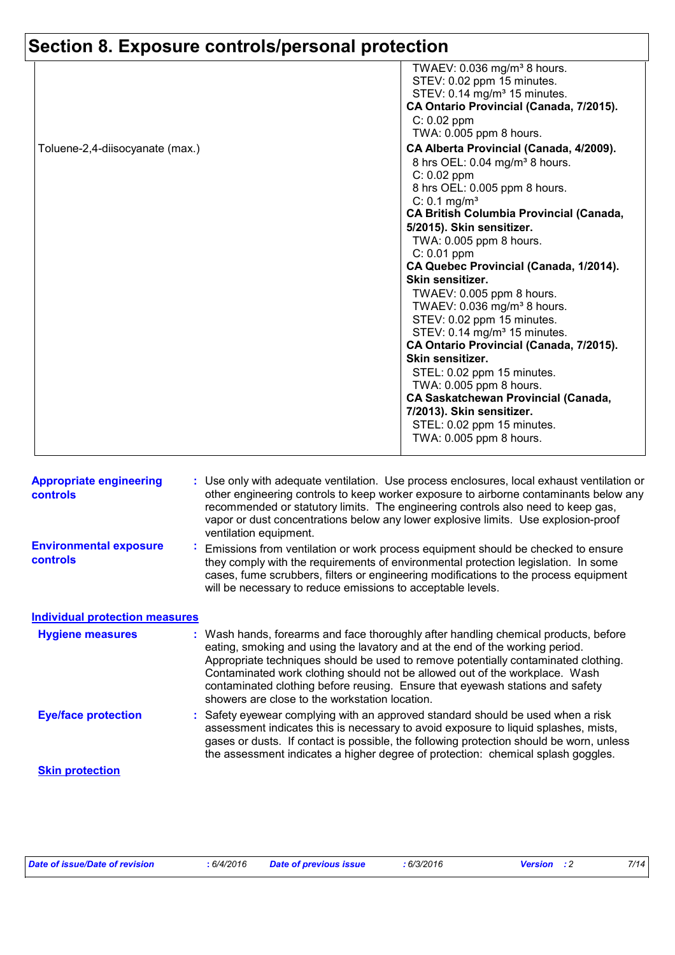# **Section 8. Exposure controls/personal protection**

|                                 | TWAEV: $0.036$ mg/m <sup>3</sup> 8 hours.      |
|---------------------------------|------------------------------------------------|
|                                 | STEV: 0.02 ppm 15 minutes.                     |
|                                 |                                                |
|                                 | STEV: 0.14 mg/m <sup>3</sup> 15 minutes.       |
|                                 | CA Ontario Provincial (Canada, 7/2015).        |
|                                 | $C: 0.02$ ppm                                  |
|                                 | TWA: 0.005 ppm 8 hours.                        |
| Toluene-2,4-diisocyanate (max.) | CA Alberta Provincial (Canada, 4/2009).        |
|                                 | 8 hrs OEL: 0.04 mg/m <sup>3</sup> 8 hours.     |
|                                 | $C: 0.02$ ppm                                  |
|                                 | 8 hrs OEL: 0.005 ppm 8 hours.                  |
|                                 | $C: 0.1$ mg/m <sup>3</sup>                     |
|                                 | <b>CA British Columbia Provincial (Canada,</b> |
|                                 | 5/2015). Skin sensitizer.                      |
|                                 | TWA: 0.005 ppm 8 hours.                        |
|                                 | $C: 0.01$ ppm                                  |
|                                 | CA Quebec Provincial (Canada, 1/2014).         |
|                                 | Skin sensitizer.                               |
|                                 | TWAEV: 0.005 ppm 8 hours.                      |
|                                 | TWAEV: 0.036 mg/m <sup>3</sup> 8 hours.        |
|                                 | STEV: 0.02 ppm 15 minutes.                     |
|                                 | STEV: 0.14 mg/m <sup>3</sup> 15 minutes.       |
|                                 | CA Ontario Provincial (Canada, 7/2015).        |
|                                 | Skin sensitizer.                               |
|                                 | STEL: 0.02 ppm 15 minutes.                     |
|                                 | TWA: 0.005 ppm 8 hours.                        |
|                                 | <b>CA Saskatchewan Provincial (Canada,</b>     |
|                                 | 7/2013). Skin sensitizer.                      |
|                                 | STEL: 0.02 ppm 15 minutes.                     |
|                                 | TWA: 0.005 ppm 8 hours.                        |
|                                 |                                                |

| <b>Appropriate engineering</b><br><b>controls</b> | : Use only with adequate ventilation. Use process enclosures, local exhaust ventilation or<br>other engineering controls to keep worker exposure to airborne contaminants below any<br>recommended or statutory limits. The engineering controls also need to keep gas,<br>vapor or dust concentrations below any lower explosive limits. Use explosion-proof<br>ventilation equipment.                                                                                     |
|---------------------------------------------------|-----------------------------------------------------------------------------------------------------------------------------------------------------------------------------------------------------------------------------------------------------------------------------------------------------------------------------------------------------------------------------------------------------------------------------------------------------------------------------|
| <b>Environmental exposure</b><br><b>controls</b>  | Emissions from ventilation or work process equipment should be checked to ensure<br>they comply with the requirements of environmental protection legislation. In some<br>cases, fume scrubbers, filters or engineering modifications to the process equipment<br>will be necessary to reduce emissions to acceptable levels.                                                                                                                                               |
| <b>Individual protection measures</b>             |                                                                                                                                                                                                                                                                                                                                                                                                                                                                             |
| <b>Hygiene measures</b>                           | : Wash hands, forearms and face thoroughly after handling chemical products, before<br>eating, smoking and using the lavatory and at the end of the working period.<br>Appropriate techniques should be used to remove potentially contaminated clothing.<br>Contaminated work clothing should not be allowed out of the workplace. Wash<br>contaminated clothing before reusing. Ensure that eyewash stations and safety<br>showers are close to the workstation location. |
| <b>Eye/face protection</b>                        | : Safety eyewear complying with an approved standard should be used when a risk<br>assessment indicates this is necessary to avoid exposure to liquid splashes, mists,<br>gases or dusts. If contact is possible, the following protection should be worn, unless<br>the assessment indicates a higher degree of protection: chemical splash goggles.                                                                                                                       |
| <b>Skin protection</b>                            |                                                                                                                                                                                                                                                                                                                                                                                                                                                                             |

| Date of issue/Date of revision<br>6/4/2016 | Date of previous issue | 6/3/2016 | <b>Version</b> : 2 |  |
|--------------------------------------------|------------------------|----------|--------------------|--|
|--------------------------------------------|------------------------|----------|--------------------|--|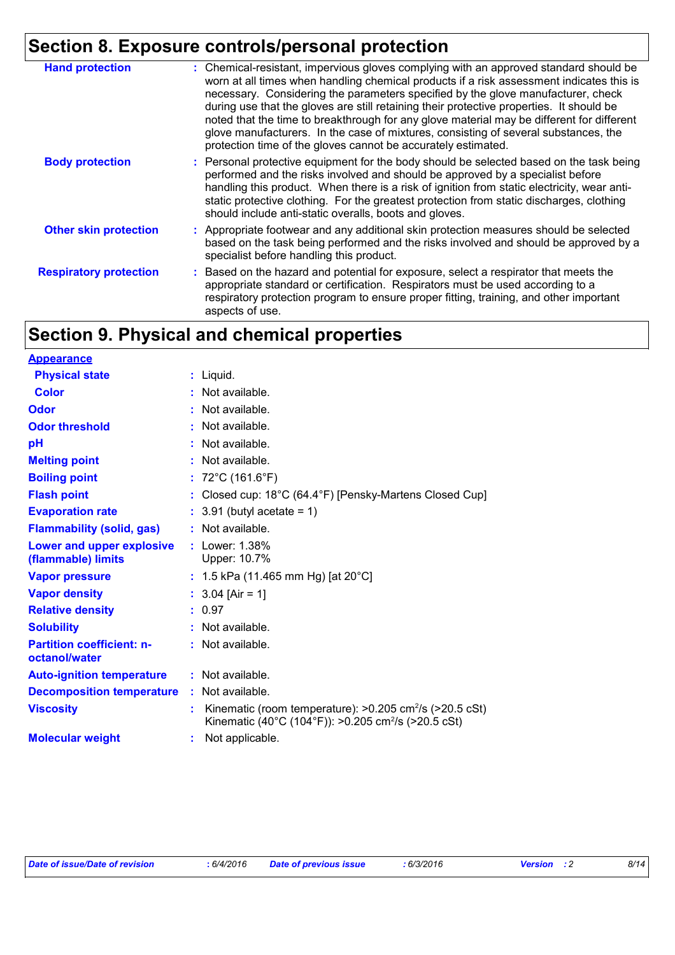# **Section 8. Exposure controls/personal protection**

| <b>Hand protection</b>        | : Chemical-resistant, impervious gloves complying with an approved standard should be<br>worn at all times when handling chemical products if a risk assessment indicates this is<br>necessary. Considering the parameters specified by the glove manufacturer, check<br>during use that the gloves are still retaining their protective properties. It should be<br>noted that the time to breakthrough for any glove material may be different for different<br>glove manufacturers. In the case of mixtures, consisting of several substances, the<br>protection time of the gloves cannot be accurately estimated. |
|-------------------------------|------------------------------------------------------------------------------------------------------------------------------------------------------------------------------------------------------------------------------------------------------------------------------------------------------------------------------------------------------------------------------------------------------------------------------------------------------------------------------------------------------------------------------------------------------------------------------------------------------------------------|
| <b>Body protection</b>        | : Personal protective equipment for the body should be selected based on the task being<br>performed and the risks involved and should be approved by a specialist before<br>handling this product. When there is a risk of ignition from static electricity, wear anti-<br>static protective clothing. For the greatest protection from static discharges, clothing<br>should include anti-static overalls, boots and gloves.                                                                                                                                                                                         |
| <b>Other skin protection</b>  | : Appropriate footwear and any additional skin protection measures should be selected<br>based on the task being performed and the risks involved and should be approved by a<br>specialist before handling this product.                                                                                                                                                                                                                                                                                                                                                                                              |
| <b>Respiratory protection</b> | : Based on the hazard and potential for exposure, select a respirator that meets the<br>appropriate standard or certification. Respirators must be used according to a<br>respiratory protection program to ensure proper fitting, training, and other important<br>aspects of use.                                                                                                                                                                                                                                                                                                                                    |

# **Section 9. Physical and chemical properties**

| <b>Appearance</b>                                 |                                                                                                                                        |
|---------------------------------------------------|----------------------------------------------------------------------------------------------------------------------------------------|
| <b>Physical state</b>                             | $:$ Liquid.                                                                                                                            |
| <b>Color</b>                                      | : Not available.                                                                                                                       |
| Odor                                              | : Not available.                                                                                                                       |
| <b>Odor threshold</b>                             | : Not available.                                                                                                                       |
| pH                                                | Not available.                                                                                                                         |
| <b>Melting point</b>                              | : Not available.                                                                                                                       |
| <b>Boiling point</b>                              | : $72^{\circ}$ C (161.6 $^{\circ}$ F)                                                                                                  |
| <b>Flash point</b>                                | : Closed cup: $18^{\circ}$ C (64.4 $^{\circ}$ F) [Pensky-Martens Closed Cup]                                                           |
| <b>Evaporation rate</b>                           | $: 3.91$ (butyl acetate = 1)                                                                                                           |
| <b>Flammability (solid, gas)</b>                  | : Not available.                                                                                                                       |
| Lower and upper explosive<br>(flammable) limits   | : Lower: 1.38%<br>Upper: 10.7%                                                                                                         |
| <b>Vapor pressure</b>                             | : 1.5 kPa (11.465 mm Hg) [at $20^{\circ}$ C]                                                                                           |
| <b>Vapor density</b>                              | : $3.04$ [Air = 1]                                                                                                                     |
| <b>Relative density</b>                           | : 0.97                                                                                                                                 |
| <b>Solubility</b>                                 | $:$ Not available.                                                                                                                     |
| <b>Partition coefficient: n-</b><br>octanol/water | : Not available.                                                                                                                       |
| <b>Auto-ignition temperature</b>                  | $:$ Not available.                                                                                                                     |
| <b>Decomposition temperature</b>                  | $:$ Not available.                                                                                                                     |
| <b>Viscosity</b>                                  | Kinematic (room temperature): >0.205 cm <sup>2</sup> /s (>20.5 cSt)<br>Kinematic (40°C (104°F)): >0.205 cm <sup>2</sup> /s (>20.5 cSt) |
| <b>Molecular weight</b>                           | Not applicable.                                                                                                                        |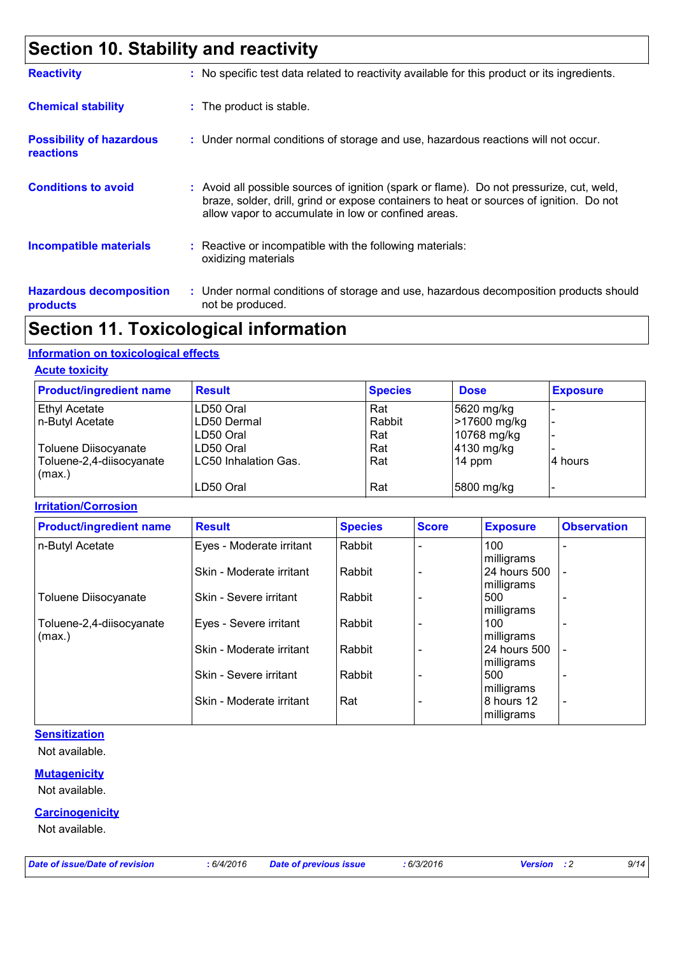# **Section 10. Stability and reactivity**

| <b>Reactivity</b>                                   | : No specific test data related to reactivity available for this product or its ingredients.                                                                                                                                               |
|-----------------------------------------------------|--------------------------------------------------------------------------------------------------------------------------------------------------------------------------------------------------------------------------------------------|
| <b>Chemical stability</b>                           | : The product is stable.                                                                                                                                                                                                                   |
| <b>Possibility of hazardous</b><br><b>reactions</b> | : Under normal conditions of storage and use, hazardous reactions will not occur.                                                                                                                                                          |
| <b>Conditions to avoid</b>                          | : Avoid all possible sources of ignition (spark or flame). Do not pressurize, cut, weld,<br>braze, solder, drill, grind or expose containers to heat or sources of ignition. Do not<br>allow vapor to accumulate in low or confined areas. |
| <b>Incompatible materials</b>                       | : Reactive or incompatible with the following materials:<br>oxidizing materials                                                                                                                                                            |
| <b>Hazardous decomposition</b><br>products          | : Under normal conditions of storage and use, hazardous decomposition products should<br>not be produced.                                                                                                                                  |

# **Section 11. Toxicological information**

### **Information on toxicological effects**

### **Acute toxicity**

| <b>Product/ingredient name</b>     | <b>Result</b>               | <b>Species</b> | <b>Dose</b>  | <b>Exposure</b> |
|------------------------------------|-----------------------------|----------------|--------------|-----------------|
| <b>Ethyl Acetate</b>               | LD50 Oral                   | Rat            | 5620 mg/kg   |                 |
| n-Butyl Acetate                    | LD50 Dermal                 | Rabbit         | >17600 mg/kg |                 |
|                                    | LD50 Oral                   | Rat            | 10768 mg/kg  |                 |
| Toluene Diisocyanate               | LD50 Oral                   | Rat            | 4130 mg/kg   |                 |
| Toluene-2,4-diisocyanate<br>(max.) | <b>LC50 Inhalation Gas.</b> | Rat            | $14$ ppm     | l4 hours        |
|                                    | LD50 Oral                   | Rat            | 5800 mg/kg   |                 |

### **Irritation/Corrosion**

| <b>Product/ingredient name</b> | <b>Result</b>            | <b>Species</b> | <b>Score</b> | <b>Exposure</b> | <b>Observation</b>       |
|--------------------------------|--------------------------|----------------|--------------|-----------------|--------------------------|
| n-Butyl Acetate                | Eyes - Moderate irritant | Rabbit         |              | 100             |                          |
|                                |                          |                |              | milligrams      |                          |
|                                | Skin - Moderate irritant | Rabbit         |              | 24 hours 500    |                          |
|                                |                          |                |              | milligrams      |                          |
| <b>Toluene Diisocyanate</b>    | Skin - Severe irritant   | Rabbit         |              | 500             |                          |
|                                |                          |                |              | milligrams      |                          |
| Toluene-2,4-diisocyanate       | Eyes - Severe irritant   | Rabbit         |              | 100             |                          |
| (max.)                         |                          |                |              | milligrams      |                          |
|                                | Skin - Moderate irritant | Rabbit         |              | 24 hours 500    | Ĭ.                       |
|                                |                          |                |              | milligrams      |                          |
|                                | Skin - Severe irritant   | Rabbit         |              | 500             |                          |
|                                |                          |                |              | milligrams      |                          |
|                                | Skin - Moderate irritant | Rat            |              | 8 hours 12      | $\overline{\phantom{a}}$ |
|                                |                          |                |              | milligrams      |                          |

### **Sensitization**

Not available.

### **Mutagenicity**

Not available.

### **Carcinogenicity**

Not available.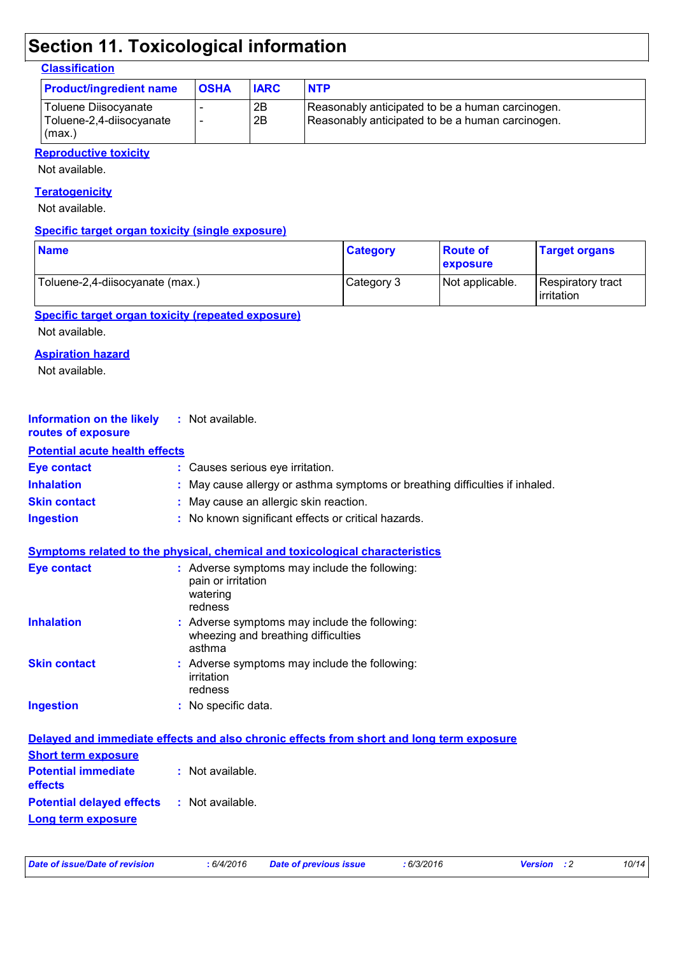# **Section 11. Toxicological information**

### **Classification**

| <b>Product/ingredient name</b>                             | <b>OSHA</b>              | <b>IARC</b> | <b>NTP</b>                                                                                           |
|------------------------------------------------------------|--------------------------|-------------|------------------------------------------------------------------------------------------------------|
| Toluene Diisocyanate<br>Toluene-2,4-diisocyanate<br>(max.) | $\overline{\phantom{a}}$ | 2B<br>2B    | Reasonably anticipated to be a human carcinogen.<br>Reasonably anticipated to be a human carcinogen. |

### **Reproductive toxicity**

Not available.

### **Teratogenicity**

Not available.

### **Specific target organ toxicity (single exposure)**

| <b>Name</b>                     | <b>Category</b> | <b>Route of</b><br><b>exposure</b> | <b>Target organs</b>             |
|---------------------------------|-----------------|------------------------------------|----------------------------------|
| Toluene-2,4-diisocyanate (max.) | Category 3      | Not applicable.                    | Respiratory tract<br>lirritation |

### **Specific target organ toxicity (repeated exposure)**

Not available.

### **Aspiration hazard**

Not available.

| Information on the likely | : Not available. |
|---------------------------|------------------|
| routes of exposure        |                  |

### **Potential acute health effects**

| Eye contact         | : Causes serious eye irritation.                                             |
|---------------------|------------------------------------------------------------------------------|
| <b>Inhalation</b>   | : May cause allergy or asthma symptoms or breathing difficulties if inhaled. |
| <b>Skin contact</b> | : May cause an allergic skin reaction.                                       |
| <b>Ingestion</b>    | : No known significant effects or critical hazards.                          |

|  |  |  | Symptoms related to the physical, chemical and toxicological characteristics_ |  |
|--|--|--|-------------------------------------------------------------------------------|--|
|  |  |  |                                                                               |  |

| <b>Eye contact</b>  | : Adverse symptoms may include the following:<br>pain or irritation<br>watering<br>redness     |
|---------------------|------------------------------------------------------------------------------------------------|
| <b>Inhalation</b>   | : Adverse symptoms may include the following:<br>wheezing and breathing difficulties<br>asthma |
| <b>Skin contact</b> | : Adverse symptoms may include the following:<br>irritation<br>redness                         |
| <b>Ingestion</b>    | : No specific data.                                                                            |

| Delayed and immediate effects and also chronic effects from short and long term exposure |  |  |  |  |
|------------------------------------------------------------------------------------------|--|--|--|--|
| <b>Short term exposure</b>                                                               |  |  |  |  |
| <b>Potential immediate : Not available.</b><br><b>effects</b>                            |  |  |  |  |
| <b>Potential delayed effects : Not available.</b>                                        |  |  |  |  |
| Long term exposure                                                                       |  |  |  |  |

| Date of issue/Date of revision<br>:6/4/2016<br>Date of |
|--------------------------------------------------------|
|--------------------------------------------------------|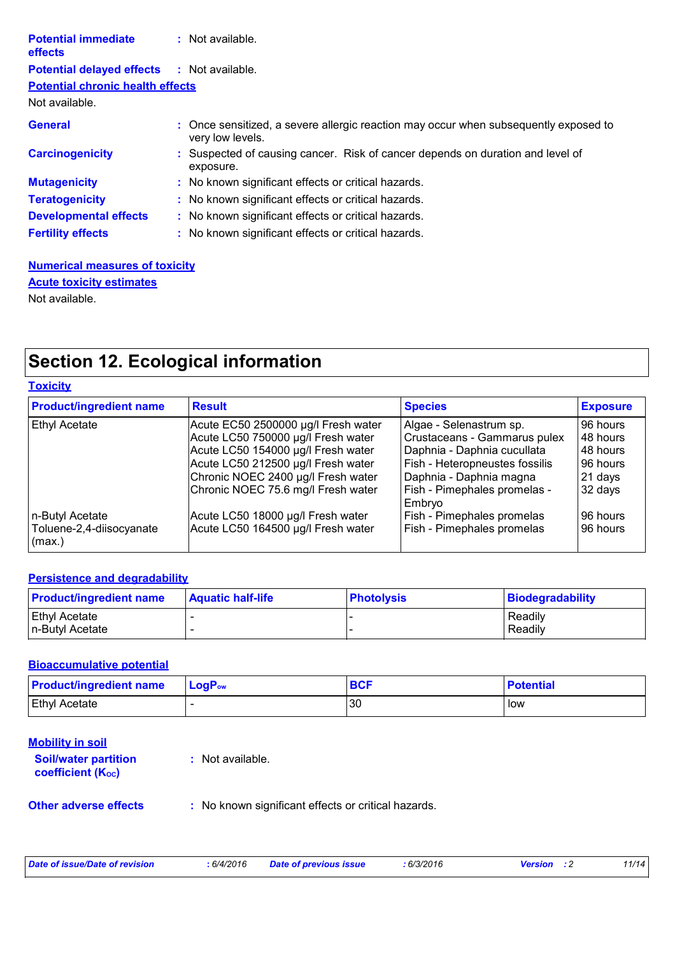| <b>Potential immediate</b><br><b>effects</b> | $:$ Not available.                                                                                       |
|----------------------------------------------|----------------------------------------------------------------------------------------------------------|
| <b>Potential delayed effects</b>             | : Not available.                                                                                         |
| <b>Potential chronic health effects</b>      |                                                                                                          |
| Not available.                               |                                                                                                          |
| <b>General</b>                               | : Once sensitized, a severe allergic reaction may occur when subsequently exposed to<br>very low levels. |
| <b>Carcinogenicity</b>                       | : Suspected of causing cancer. Risk of cancer depends on duration and level of<br>exposure.              |
| <b>Mutagenicity</b>                          | : No known significant effects or critical hazards.                                                      |
| <b>Teratogenicity</b>                        | : No known significant effects or critical hazards.                                                      |
| <b>Developmental effects</b>                 | : No known significant effects or critical hazards.                                                      |
| <b>Fertility effects</b>                     | : No known significant effects or critical hazards.                                                      |

**Numerical measures of toxicity** Not available. **Acute toxicity estimates**

# **Section 12. Ecological information**

|  | Toxicitv |  |  |
|--|----------|--|--|
|--|----------|--|--|

| <b>Product/ingredient name</b>                | <b>Result</b>                       | <b>Species</b>                         | <b>Exposure</b> |
|-----------------------------------------------|-------------------------------------|----------------------------------------|-----------------|
| <b>Ethyl Acetate</b>                          | Acute EC50 2500000 µg/l Fresh water | Algae - Selenastrum sp.                | 96 hours        |
|                                               | Acute LC50 750000 µg/l Fresh water  | Crustaceans - Gammarus pulex           | 48 hours        |
|                                               | Acute LC50 154000 µg/l Fresh water  | Daphnia - Daphnia cucullata            | 48 hours        |
|                                               | Acute LC50 212500 µg/l Fresh water  | Fish - Heteropneustes fossilis         | 96 hours        |
|                                               | Chronic NOEC 2400 µg/l Fresh water  | Daphnia - Daphnia magna                | 21 days         |
|                                               | Chronic NOEC 75.6 mg/l Fresh water  | Fish - Pimephales promelas -<br>Embryo | 32 days         |
| n-Butyl Acetate                               | Acute LC50 18000 µg/l Fresh water   | Fish - Pimephales promelas             | 96 hours        |
| Toluene-2,4-diisocyanate<br>$\mathsf{max}$ .) | Acute LC50 164500 µg/l Fresh water  | Fish - Pimephales promelas             | 96 hours        |

### **Persistence and degradability**

| <b>Product/ingredient name</b> | <b>Aquatic half-life</b> | <b>Photolysis</b> | Biodegradability |
|--------------------------------|--------------------------|-------------------|------------------|
| <b>Ethyl Acetate</b>           |                          |                   | Readily          |
| In-Butyl Acetate               |                          |                   | Readily          |

### **Bioaccumulative potential**

| <b>Product/ingredient name</b> | $\mathsf{LogP}_\mathsf{ow}$ | <b>BCF</b> | <b>Potential</b> |
|--------------------------------|-----------------------------|------------|------------------|
| <b>Ethyl Acetate</b>           |                             | 30         | l low            |

| <u>Mobility in soil</u><br><b>Soil/water partition</b><br><b>coefficient (Koc)</b> | : Not available.                                    |
|------------------------------------------------------------------------------------|-----------------------------------------------------|
| <b>Other adverse effects</b>                                                       | : No known significant effects or critical hazards. |

|  | Date of issue/Date of revision | 6/4/2016 | Date of previous issue | : 6/3/2016 | <b>Version</b> | 11/14 |
|--|--------------------------------|----------|------------------------|------------|----------------|-------|
|--|--------------------------------|----------|------------------------|------------|----------------|-------|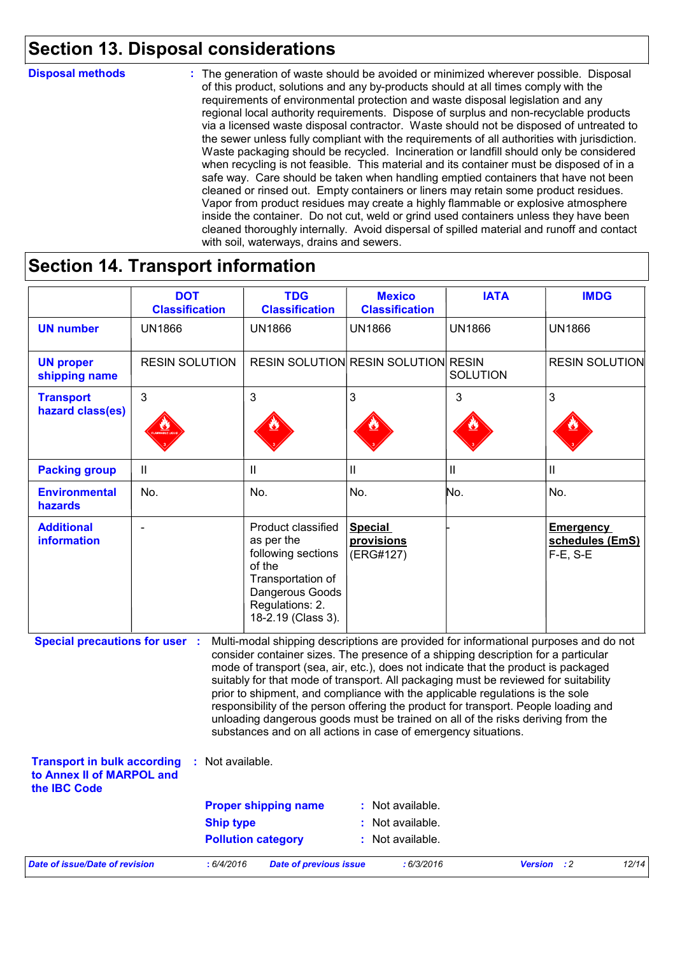## **Section 13. Disposal considerations**

### **Disposal methods :**

The generation of waste should be avoided or minimized wherever possible. Disposal of this product, solutions and any by-products should at all times comply with the requirements of environmental protection and waste disposal legislation and any regional local authority requirements. Dispose of surplus and non-recyclable products via a licensed waste disposal contractor. Waste should not be disposed of untreated to the sewer unless fully compliant with the requirements of all authorities with jurisdiction. Waste packaging should be recycled. Incineration or landfill should only be considered when recycling is not feasible. This material and its container must be disposed of in a safe way. Care should be taken when handling emptied containers that have not been cleaned or rinsed out. Empty containers or liners may retain some product residues. Vapor from product residues may create a highly flammable or explosive atmosphere inside the container. Do not cut, weld or grind used containers unless they have been cleaned thoroughly internally. Avoid dispersal of spilled material and runoff and contact with soil, waterways, drains and sewers.

### **Section 14. Transport information**

|                                                                                 | <b>DOT</b><br><b>Classification</b> | <b>TDG</b><br><b>Classification</b>                                                                                                                                                                                                                                                                                                                                                                                                                                                                                                                                                                                                                                                 | <b>Mexico</b><br><b>Classification</b>     | <b>IATA</b>     | <b>IMDG</b>                                          |
|---------------------------------------------------------------------------------|-------------------------------------|-------------------------------------------------------------------------------------------------------------------------------------------------------------------------------------------------------------------------------------------------------------------------------------------------------------------------------------------------------------------------------------------------------------------------------------------------------------------------------------------------------------------------------------------------------------------------------------------------------------------------------------------------------------------------------------|--------------------------------------------|-----------------|------------------------------------------------------|
| <b>UN number</b>                                                                | <b>UN1866</b>                       | <b>UN1866</b>                                                                                                                                                                                                                                                                                                                                                                                                                                                                                                                                                                                                                                                                       | <b>UN1866</b>                              | <b>UN1866</b>   | <b>UN1866</b>                                        |
| <b>UN proper</b><br>shipping name                                               | <b>RESIN SOLUTION</b>               |                                                                                                                                                                                                                                                                                                                                                                                                                                                                                                                                                                                                                                                                                     | <b>RESIN SOLUTION RESIN SOLUTION RESIN</b> | <b>SOLUTION</b> | <b>RESIN SOLUTION</b>                                |
| <b>Transport</b><br>hazard class(es)                                            | $\mathfrak{S}$                      | 3                                                                                                                                                                                                                                                                                                                                                                                                                                                                                                                                                                                                                                                                                   | 3                                          | 3               | 3                                                    |
| <b>Packing group</b>                                                            | Ш                                   | $\mathbf{II}$                                                                                                                                                                                                                                                                                                                                                                                                                                                                                                                                                                                                                                                                       | Ш                                          | Ш               | Ш                                                    |
| <b>Environmental</b><br><b>hazards</b>                                          | No.                                 | No.                                                                                                                                                                                                                                                                                                                                                                                                                                                                                                                                                                                                                                                                                 | No.                                        | No.             | No.                                                  |
| <b>Additional</b><br>information                                                |                                     | Product classified<br>as per the<br>following sections<br>of the<br>Transportation of<br>Dangerous Goods<br>Regulations: 2.<br>18-2.19 (Class 3).                                                                                                                                                                                                                                                                                                                                                                                                                                                                                                                                   | <b>Special</b><br>provisions<br>(ERG#127)  |                 | <b>Emergency</b><br>schedules (EmS)<br>$F-E$ , $S-E$ |
| <b>Special precautions for user :</b>                                           |                                     | Multi-modal shipping descriptions are provided for informational purposes and do not<br>consider container sizes. The presence of a shipping description for a particular<br>mode of transport (sea, air, etc.), does not indicate that the product is packaged<br>suitably for that mode of transport. All packaging must be reviewed for suitability<br>prior to shipment, and compliance with the applicable regulations is the sole<br>responsibility of the person offering the product for transport. People loading and<br>unloading dangerous goods must be trained on all of the risks deriving from the<br>substances and on all actions in case of emergency situations. |                                            |                 |                                                      |
| <b>Transport in bulk according</b><br>to Annex II of MARPOL and<br>the IBC Code | : Not available.                    |                                                                                                                                                                                                                                                                                                                                                                                                                                                                                                                                                                                                                                                                                     |                                            |                 |                                                      |
|                                                                                 |                                     | <b>Proper shipping name</b>                                                                                                                                                                                                                                                                                                                                                                                                                                                                                                                                                                                                                                                         | : Not available.                           |                 |                                                      |
|                                                                                 | <b>Ship type</b>                    |                                                                                                                                                                                                                                                                                                                                                                                                                                                                                                                                                                                                                                                                                     | : Not available.                           |                 |                                                      |
|                                                                                 |                                     | <b>Pollution category</b>                                                                                                                                                                                                                                                                                                                                                                                                                                                                                                                                                                                                                                                           | : Not available.                           |                 |                                                      |
| <b>Date of issue/Date of revision</b>                                           | : 6/4/2016                          | <b>Date of previous issue</b>                                                                                                                                                                                                                                                                                                                                                                                                                                                                                                                                                                                                                                                       | : 6/3/2016                                 |                 | Version : 2<br>12/14                                 |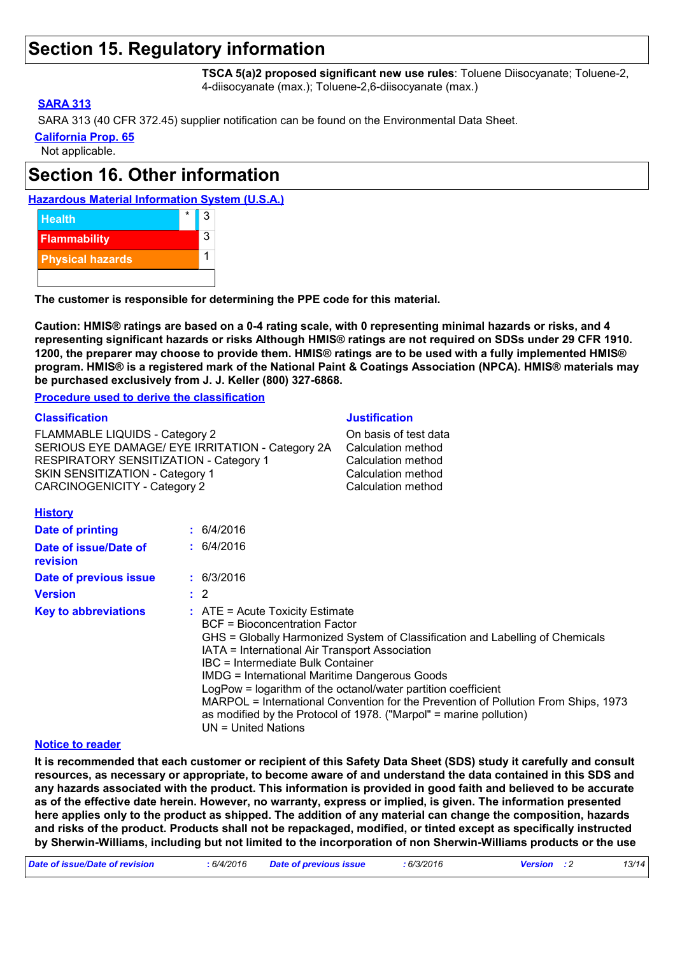### **Section 15. Regulatory information**

**TSCA 5(a)2 proposed significant new use rules**: Toluene Diisocyanate; Toluene-2, 4-diisocyanate (max.); Toluene-2,6-diisocyanate (max.)

### **SARA 313**

SARA 313 (40 CFR 372.45) supplier notification can be found on the Environmental Data Sheet.

**California Prop. 65**

Not applicable.

# **Section 16. Other information**





**The customer is responsible for determining the PPE code for this material.**

**Caution: HMIS® ratings are based on a 0-4 rating scale, with 0 representing minimal hazards or risks, and 4 representing significant hazards or risks Although HMIS® ratings are not required on SDSs under 29 CFR 1910. 1200, the preparer may choose to provide them. HMIS® ratings are to be used with a fully implemented HMIS® program. HMIS® is a registered mark of the National Paint & Coatings Association (NPCA). HMIS® materials may be purchased exclusively from J. J. Keller (800) 327-6868.**

**Procedure used to derive the classification**

#### **Classification Justification**

FLAMMABLE LIQUIDS - Category 2 Cassis of test data SERIOUS EYE DAMAGE/ EYE IRRITATION - Category 2A Calculation method RESPIRATORY SENSITIZATION - Category 1 Calculation method SKIN SENSITIZATION - Category 1 Calculation method CARCINOGENICITY - Category 2 Calculation method

### **History**

| <b>Date of printing</b>                  | : 6/4/2016                                                                                                                                                                                                                                                                                                                                                                                                                                                                                                                                                      |
|------------------------------------------|-----------------------------------------------------------------------------------------------------------------------------------------------------------------------------------------------------------------------------------------------------------------------------------------------------------------------------------------------------------------------------------------------------------------------------------------------------------------------------------------------------------------------------------------------------------------|
| Date of issue/Date of<br><b>revision</b> | : 6/4/2016                                                                                                                                                                                                                                                                                                                                                                                                                                                                                                                                                      |
| Date of previous issue                   | : 6/3/2016                                                                                                                                                                                                                                                                                                                                                                                                                                                                                                                                                      |
| <b>Version</b>                           | $\therefore$ 2                                                                                                                                                                                                                                                                                                                                                                                                                                                                                                                                                  |
| <b>Key to abbreviations</b>              | $\therefore$ ATE = Acute Toxicity Estimate<br>BCF = Bioconcentration Factor<br>GHS = Globally Harmonized System of Classification and Labelling of Chemicals<br>IATA = International Air Transport Association<br>IBC = Intermediate Bulk Container<br><b>IMDG = International Maritime Dangerous Goods</b><br>LogPow = logarithm of the octanol/water partition coefficient<br>MARPOL = International Convention for the Prevention of Pollution From Ships, 1973<br>as modified by the Protocol of 1978. ("Marpol" = marine pollution)<br>UN = United Nations |

### **Notice to reader**

**It is recommended that each customer or recipient of this Safety Data Sheet (SDS) study it carefully and consult resources, as necessary or appropriate, to become aware of and understand the data contained in this SDS and any hazards associated with the product. This information is provided in good faith and believed to be accurate as of the effective date herein. However, no warranty, express or implied, is given. The information presented here applies only to the product as shipped. The addition of any material can change the composition, hazards and risks of the product. Products shall not be repackaged, modified, or tinted except as specifically instructed by Sherwin-Williams, including but not limited to the incorporation of non Sherwin-Williams products or the use** 

| Date of issue/Date of revision | 6/4/2016 | Date of previous issue | : 6/3/2016 | <b>Version</b> : 2 |  | 13/14 |
|--------------------------------|----------|------------------------|------------|--------------------|--|-------|
|--------------------------------|----------|------------------------|------------|--------------------|--|-------|